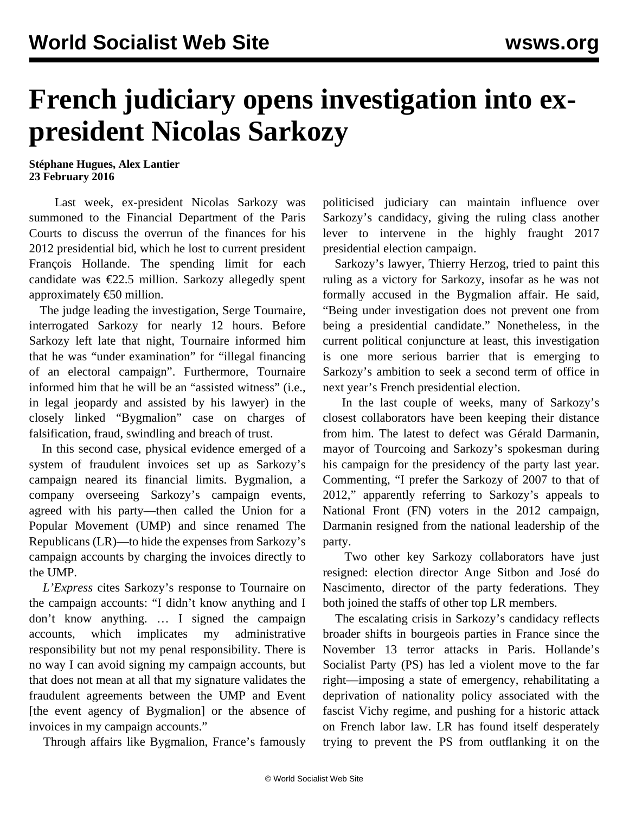## **French judiciary opens investigation into expresident Nicolas Sarkozy**

## **Stéphane Hugues, Alex Lantier 23 February 2016**

 Last week, ex-president Nicolas Sarkozy was summoned to the Financial Department of the Paris Courts to discuss the overrun of the finances for his 2012 presidential bid, which he lost to current president François Hollande. The spending limit for each candidate was  $\epsilon$ 22.5 million. Sarkozy allegedly spent approximately €50 million.

 The judge leading the investigation, Serge Tournaire, interrogated Sarkozy for nearly 12 hours. Before Sarkozy left late that night, Tournaire informed him that he was "under examination" for "illegal financing of an electoral campaign". Furthermore, Tournaire informed him that he will be an "assisted witness" (i.e., in legal jeopardy and assisted by his lawyer) in the closely linked "Bygmalion" case on charges of falsification, fraud, swindling and breach of trust.

 In this second case, physical evidence emerged of a system of fraudulent invoices set up as Sarkozy's campaign neared its financial limits. Bygmalion, a company overseeing Sarkozy's campaign events, agreed with his party—then called the Union for a Popular Movement (UMP) and since renamed The Republicans (LR)—to hide the expenses from Sarkozy's campaign accounts by charging the invoices directly to the UMP.

 *L'Express* cites Sarkozy's response to Tournaire on the campaign accounts: "I didn't know anything and I don't know anything. … I signed the campaign accounts, which implicates my administrative responsibility but not my penal responsibility. There is no way I can avoid signing my campaign accounts, but that does not mean at all that my signature validates the fraudulent agreements between the UMP and Event [the event agency of Bygmalion] or the absence of invoices in my campaign accounts."

Through affairs like Bygmalion, France's famously

politicised judiciary can maintain influence over Sarkozy's candidacy, giving the ruling class another lever to intervene in the highly fraught 2017 presidential election campaign.

 Sarkozy's lawyer, Thierry Herzog, tried to paint this ruling as a victory for Sarkozy, insofar as he was not formally accused in the Bygmalion affair. He said, "Being under investigation does not prevent one from being a presidential candidate." Nonetheless, in the current political conjuncture at least, this investigation is one more serious barrier that is emerging to Sarkozy's ambition to seek a second term of office in next year's French presidential election.

 In the last couple of weeks, many of Sarkozy's closest collaborators have been keeping their distance from him. The latest to defect was Gérald Darmanin, mayor of Tourcoing and Sarkozy's spokesman during his campaign for the presidency of the party last year. Commenting, "I prefer the Sarkozy of 2007 to that of 2012," apparently referring to Sarkozy's appeals to National Front (FN) voters in the 2012 campaign, Darmanin resigned from the national leadership of the party.

 Two other key Sarkozy collaborators have just resigned: election director Ange Sitbon and José do Nascimento, director of the party federations. They both joined the staffs of other top LR members.

 The escalating crisis in Sarkozy's candidacy reflects broader shifts in bourgeois parties in France since the November 13 terror attacks in Paris. Hollande's Socialist Party (PS) has led a violent move to the far right—imposing a state of emergency, rehabilitating a deprivation of nationality policy associated with the fascist Vichy regime, and pushing for a historic attack on French labor law. LR has found itself desperately trying to prevent the PS from outflanking it on the